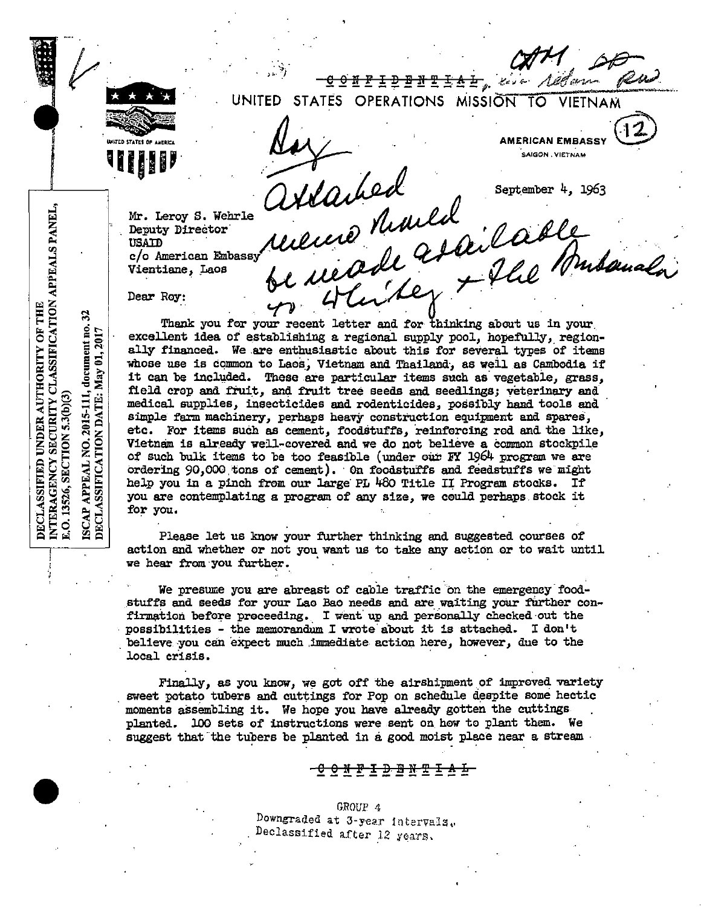

 $\overline{\mathtt{G}\circ\mathtt{N}\,\mathtt{F}}$  is  $\overline{\mathtt{F}}$  . It is  $\overline{\mathtt{F}}$  in  $\overline{\mathtt{F}}$  is a set of  $\overline{\mathtt{F}}$  , we have UNITED STATES OPERATIONS MISSION TO VIETNAM /1*09 corr* 

**•\_11111•·'** 

AMERICAN EMBASSY **RICAN EMBASSY** 

September 4, 1963

a reade after la Budauala

*t7/H* 'P-P

. ~; - " */) /J* "'· *,P*~ , amer 1, 1903<br>cred Munich collect 1, 1903

Mr. Leroy S. Wehrle Deputy Director<sup>1</sup><br>USATD c/o American Embassy Vientiane, Laos

Dear Roy:

Thank you for your recent letter and for thinking about us in your. excellent idea of establishing a regional supply pool, hopefully, regionally financed. We are enthusiastic about this for several types of items whose use is common to Laos, Vietnam and Thailand, as well as Cambodia if it can be included. These are particular items such as vegetable, grass, field crop and fruit, and fruit tree seeds and seedlings; veterinary and medical supplies, insecticides and rodenticides, possibly hand tools and simple farm machinery, perhaps heavy construction equipment and spares, etc. For items such as cement, foodstuffs, reinforcing rod and the like, Vietnam is already well-covered and we do not believe a common stockpile of such bulk items to be too feasible (under oiW *F'i* 1964 program we are ordering 90,000 tons of cement). On foodstuffs and feedstuffs we might help you in a pinch from our large PL 480 Title II Program stocks. If you are contemplating a program of any size, we ceuld perhaps stock it for you.

oc marker +

Please let us know your further thinking and suggested courses of action and whether or not you want us to take any action or to wait until we hear from you further.

We presume you are abreast of cable traffic on the emergency foodstuffs and seeds for your Lao Bao needs and are waiting your further confirmation before proceeding. I went up and personally checked out the possibilities - the memorandum I wrote about it is attached. I don't believe you can expect much immediate action here, however, due to the local crisis.

Finally, as you know, we got off the airshipment of improved variety sweet potato tubers and cuttings for Pop on schedule deepite some hectic moments assembling it. We hope you have already gotten the cuttings planted. 100 sets of instructions were sent on hew to plant them. We suggest that the tubers be planted in a good moist place near a stream  $\cdot$ 

 $\frac{Q Q M E L}{D$ <br>Bowngraded at 3-year<br>Declassified after Downgraded at  $3$ -year intervals. Declassified after 12 years.

INTERAGENCY SECURITY CLASSIFICATION APPEALS PANEL, DECLASSIFIED UNDER AUTHORITY OF THE 32 ISCAP APPEAL NO. 2015-111, document no.<br>DECLASSIFICATION DATE: May 01, 2017 E.O. 13526, SECTION 5.3(b)(3)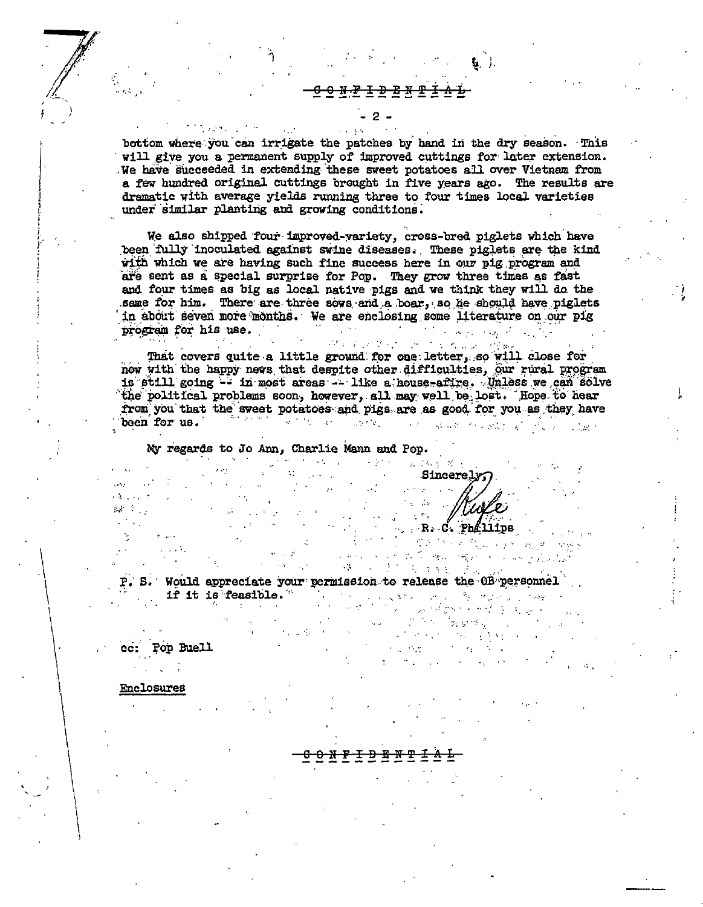bottom where you can irrigate the patches by hand in the dry season. This will give you a permanent supply of improved cuttings for later extension. We have succeeded in extending these sweet potatoes all over Vietnam from a few hundred original cuttings brought in five years ago. The results are dramatic with average yields running three to four times local varieties under similar planting and growing conditions.

We also shipped four improved-variety, cross-bred piglets which have been fully inoculated against swine diseases. These piglets are the kind with which we are having such fine success here in our pig program and are sent as a special surprise for Pop. They grow three times as fast and four times as big as local native pigs and we think they will do the same for him. There are three sows and a boar, so he should have piglets in about seven more months. We are enclosing some literature on our pig  $\label{eq:2} \mathcal{F}^{\mathcal{A}}_{\mathcal{A}}(\mathcal{A}) = \mathcal{F}^{\mathcal{A}}_{\mathcal{A}}(\mathcal{A}) = \mathcal{F}^{\mathcal{A}}_{\mathcal{A}}(\mathcal{A}) = \mathcal{F}^{\mathcal{A}}_{\mathcal{A}}(\mathcal{A}) = \mathcal{F}^{\mathcal{A}}_{\mathcal{A}}(\mathcal{A})$ program for his use.

That covers quite a little ground for one letter, so will close for now with the happy news that despite other difficulties, our rural program is still going -- in most areas -- like a house-afire. Unless we can solve the political problems soon, however, all may well be lost. Hope to hear from you that the sweet potatoes and pigs are as good for you as they have  $\alpha$  ,  $\beta$  , and  $\beta$ been for us. ్లా గట్టు బాబు అత్యా Control State Constitution

At a greater of the end of the

My regards to Jo Ann, Charlie Mann and Pop.

医三氯化合物 医中间性神经 医单核菌素 医神经病毒 **Sincerely** Service R.  $\sim 10^{11}$  MeV  $\mathbb{R}^n$ R. C. Philips 

 $\mathcal{L}^{(1)}$  ,  $\mathcal{L}^{(1)}$ 

**All All More Park Committee** P. S. Would appreciate your permission to release the 0B personnel if it is feasible." The same way to a serious way  $\sim 10^{-10}$  km  $^{-2}$  $\mathcal{L}=\frac{1}{2} \sum_{i=1}^{n} \frac{1}{2} \sum_{j=1}^{n} \frac{1}{2} \sum_{j=1}^{n} \frac{1}{2} \sum_{j=1}^{n} \frac{1}{2} \sum_{j=1}^{n} \frac{1}{2} \sum_{j=1}^{n} \frac{1}{2} \sum_{j=1}^{n} \frac{1}{2} \sum_{j=1}^{n} \frac{1}{2} \sum_{j=1}^{n} \frac{1}{2} \sum_{j=1}^{n} \frac{1}{2} \sum_{j=1}^{n} \frac{1}{2} \sum_{j=1}^{n} \frac{1}{2} \sum_{$ i<br>Sanggung S

 $\sim$ 

Pop Buell ee:

Enclosures

 $\mathcal{A}^{\text{c}}$  .

 $\mathbb{Z}$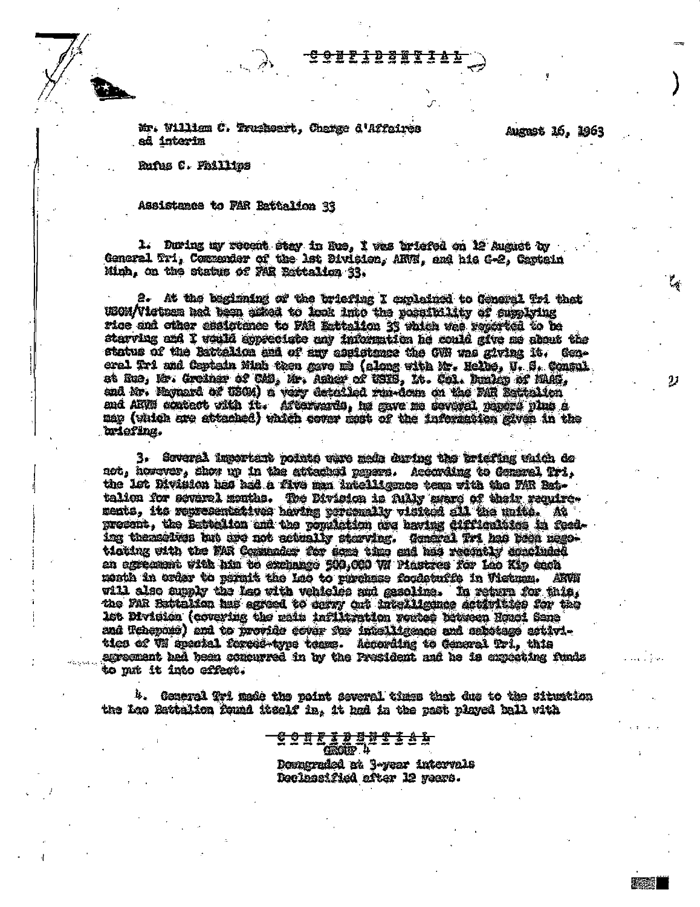<del>6002308</del>

Mr. William C. Truckeart, Change d'Affaires ad interim

August 16, 1963

**图 100 图** 

Rufus C. Phillips

Assistance to PAR Battelion 33

1. During my recent stay in Rus, I was briefed on 12 August by Concral Tri, Commender of the let Division, ARVN, and his G-2, Captain Minh, on the status of FAR Esttalion 33.

2. At the beginning of the tricfing I explained to General Tri that USOM/Victoen had been asked to look into the possibility of supplying rice and other assistance to FAR Estalion 33 which was regarded to be starving and I would appreciate any information he could give me about the status of the Bittelian and of any assistance the GWR was giving it. General Tri and Ceptain Minh then gave me (along with Mr. Helbs, U. S. Consul, at Rue, Mr. Greiner of CMB, Mr. Asher of USES, It. Col. Dunley of MAG, and Mr. Maynard of USCM) a vary detailed run-down on the FAR Extinitor and ARW contact with it. Afterwards, he gave no severed papers plus a map (which are attached) which cover most of the information siven in the briefing.

3. Several important noints ware mede during the briefing which do not, horaver, show up in the attached peners. According to Ceneral Tri. the 1st Rivision has had a five man intelligence team with the FAR Battalion for severel menths. The Division is fully sware of their ranivements, its representatives having personally visited all the units. At procent, the Battelion and the pomiation are having difficulties in feeding themselves hat are not actually starving. General Tri has been nagoticting sith the FAR Comunder for sens time and has recontly concluded an egreement with him to exchange 500.000 W Piestres for Lao Kip each mosth in order to sermit the Lao to runchese foodstuffs in Wistma. ANVH will also supply the Leo with vehicles and gasoline. In return for this. the FAR Bettelian has agreed to carny ant intelligence activities for the let Division (covering the main inflicration vertes broween Housi Sane and Tehepois) and to provide cover for intelligence and sabotage activitics of W special forced-type team. According to General Tri, this agreement had been concurred in by the President and he is expecting funds to mit it into effect.

 $b$ . General fri mais the point several times that due to the situation the Leo Battalion found itself in. it had in the past played ball with

> <u> 0 N K X X X X X 8 A I</u> **ERGHER Li** Downgraded at B-year intervals Declassified after 12 years.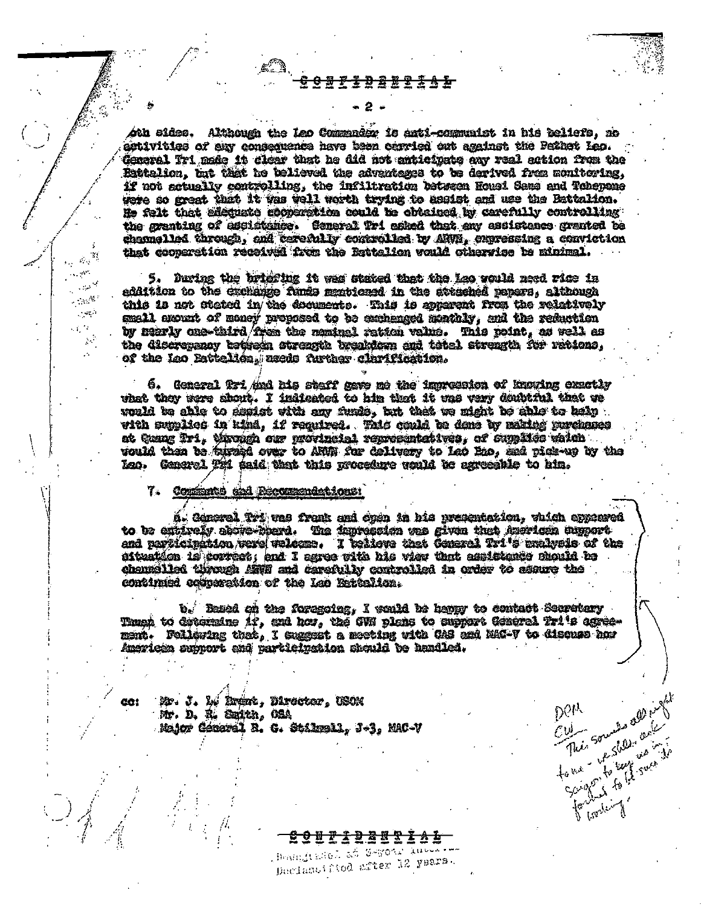<del>3 A L</del>

oth sides. Although the Leo Commandor is anti-communist in his beliefs, no activities of any consequence have been carried out against the Pathet Leo. General Tri made it clear that he did not anticipate any real action from the Battelion, but that he believed the advantages to be derived from monitoring. if not actually controlling, the infiltration between Housi Sams and Tohepane were so great that it was well worth trying to assist and use the Battalion. He felt that allemate goodcration could be obtained by carefully controlling the granting of ascistance. Coneral Tri asked that any assistance granted be channelled through, and terefully controlled by ANNS. Supressing a conviction that cooperstion received from the Battalion would otherwise be minimal.

5. During the brighting it was stated that the Lao would need rice in eddition to the exchange funds mentioned in the attached rapers, although this is not stated in the documents. This is apparent from the relatively small exount of money proposed to be exchanged markely, and the reduction by nearly enc-third from the nominal ration value. This point, as well as the discreesmay betheen streamth breakdown and tatel streamth for rations. of the Leo Pattelica, aseds further clarification.

6. General fri And his staff gave me the impression of knowing exactly vhet they were shout. I indicated to him that it was very doubtful that we would be able to sepist with any funds, but thet we might be able to belp . with supplies in kind, if required. This could be done by mating purchases at Quang Tri, through our provincial representatives, of supplies which would then to furned over to ARUN for colivery to Leo Beo, and pick-up by the Leo. General Til said that this procedure would be agreeable to him.

7. Commente and Recommendations:

 $\frac{1}{2} \frac{1}{2}$ uv.

 $\sim$   $\alpha^{\rm A}$  .

 $\sim$   $\approx$ 

 $\sim$   $^{\prime\prime}$ 

CÔ!

A.

ñ. General Tri vas frank and open in his presentation, vhich appeared to be entirely above-merd. The impression was given that American supportand participation were welcome. I believe that General Tri's mulveis of the struntion is correct, and I saves with his view that assistance should be channelled through Affil and carefully controlled in order to ssure the continued compretion of the Leo Entirlien.

b. Based on the foregoing, I would be happy to contact Secretory Thugh to determine if, and how, the GWN plans to support General Tri's egreement. Following that, I suggest a meeting with CAS and MAG-V to discuss how American support and participation should be handled.

Mr. J. 1, Indr., Director, USON Mr. D. R. Smith, CaA Major General R. C. Stilmall, J-3, MAC-V

> Benndtallel as Geyonr musseles Declassified after 12 years.

Culture Sounds applied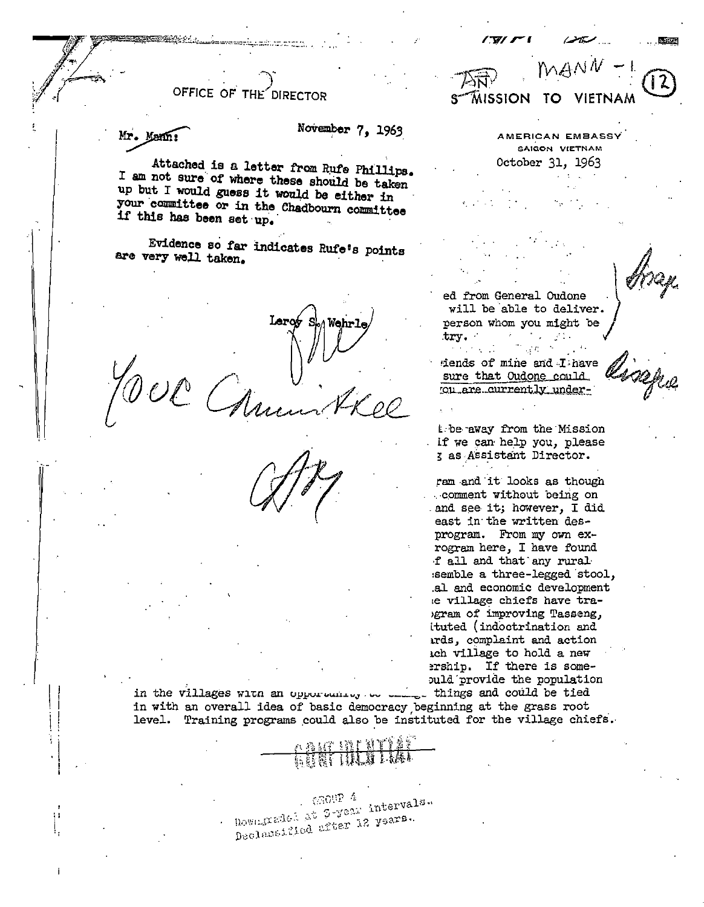OFFICE OF THE

Mr. Mann

## November 7, 1963

Attached is a letter from Rufe Phillips. I am not sure of where these should be taken up but I would guess it would be either in your committee or in the Chadbourn committee if this has been set up.

Evidence so far indicates Rufe's points are very well taken.

Larot S Wehr

AMERICAN EMBASSY SAIGON VIETNAM October 31, 1963

TO.

**VIETNAM** 

ed from General Oudone will be able to deliver. person whom you might be try.

MISSION

dends of mine and I have sure that Oudone could ou are currently under-

the away from the Mission if we can help you, please g as Assistant Director.

ram and it looks as though comment without being on and see it; however, I did east in the written desprogram. From my own exrogram here, I have found f all and that any rural semble a three-legged stool, al and economic development le village chiefs have tragram of improving Tasseng, ituted (indoctrination and ards, complaint and action ich village to hold a new ership. If there is somepuld provide the population

in the villages with an opportunity to this things and could be tied in with an overall idea of basic democracy beginning at the grass root level. Training programs could also be instituted for the village chiefs.

> $6300P^{-4}$ Downgraded at 3-year intervals. Declassified after 12 years.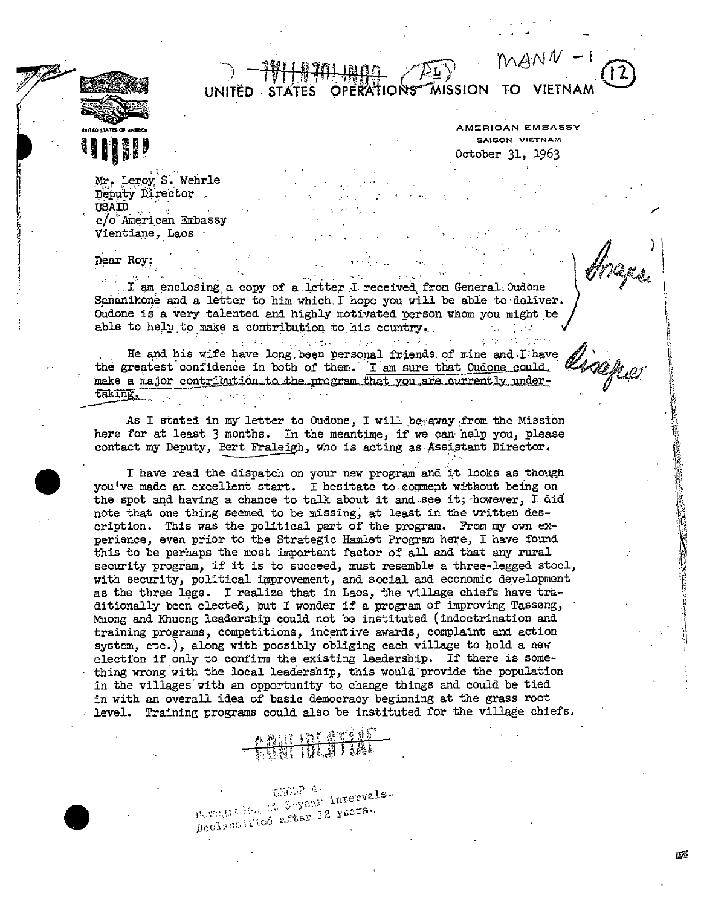

AMERICAN EMBASSY SAIGON VIETNAM October 31, 1963

 $\ddot{a}$ 

΄

MISSION

 $MANN$ 

Mr. Leroy S. Wehrle Deputy Director USAID c/o American Embassy Vientiane, Laos

Dear Roy:

I am enclosing a copy of a letter I received from General Oudone Sananikone and a letter to him which I hope you will be able to deliver. Oudone is a very talented and highly motivated person whom you might be able to help to make a contribution to his country.  $\star$   $\perp$ 

**OPERATIONS** 

UNITÉD STATES

 $\mathcal{L}^{\text{max}}$  and  $\mathcal{L}^{\text{max}}$ 

 $\label{eq:2.1} \mathcal{L}_{\mathcal{A}}(\mathcal{A}_{\mathcal{A}}) = \mathcal{L}_{\mathcal{A}}(\mathcal{A}_{\mathcal{A}}) = \mathcal{L}_{\mathcal{A}}(\mathcal{A}_{\mathcal{A}}) = \mathcal{L}_{\mathcal{A}}(\mathcal{A}_{\mathcal{A}}) = \mathcal{L}_{\mathcal{A}}(\mathcal{A}_{\mathcal{A}})$ He and his wife have long been personal friends of mine and I have the greatest confidence in both of them. I am sure that Oudone could make a major contribution to the program that you are currently undertaking.

As I stated in my letter to Oudone, I will be away from the Mission here for at least 3 months. In the meantime, if we can help you, please contact my Deputy, Bert Fraleigh, who is acting as Assistant Director.

I have read the dispatch on your new program and it looks as though you've made an excellent start. I hesitate to comment without being on the spot and having a chance to talk about it and see it; however, I did note that one thing seemed to be missing, at least in the written description. This was the political part of the program. From my own experience, even prior to the Strategic Hamlet Program here, I have found this to be perhaps the most important factor of all and that any rural security program, if it is to succeed, must resemble a three-legged stool, with security, political improvement, and social and economic development as the three legs. I realize that in Laos, the village chiefs have traditionally been elected, but I wonder if a program of improving Tasseng, Muong and Khuong leadership could not be instituted (indoctrination and training programs, competitions, incentive awards, complaint and action system, etc.), along with possibly obliging each village to hold a new election if only to confirm the existing leadership. If there is something wrong with the local leadership, this would provide the population in the villages with an opportunity to change things and could be tied in with an overall idea of basic democracy beginning at the grass root level. Training programs could also be instituted for the village chiefs.

 $C36(2^{5.4})$ Downstalen at S-your intervals. Declassified after 12 years.